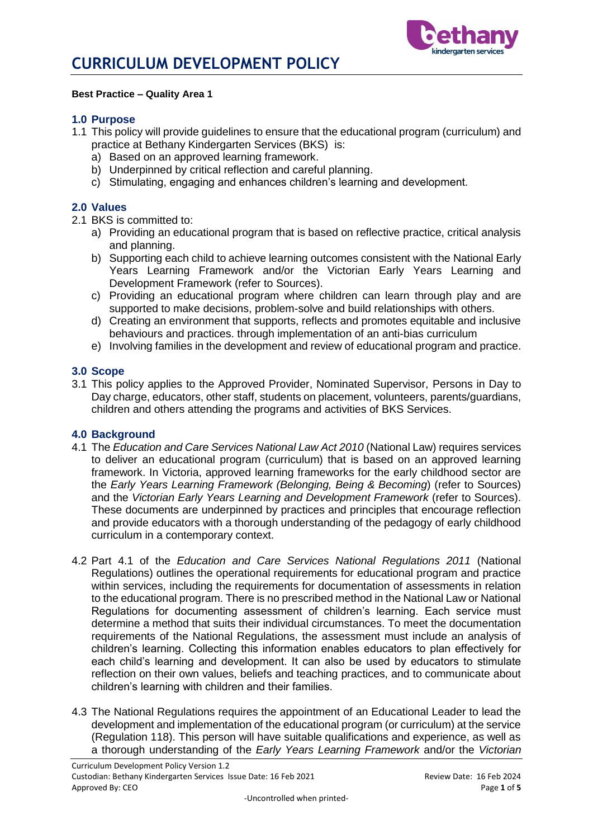

#### **Best Practice – Quality Area 1**

### **1.0 Purpose**

- 1.1 This policy will provide guidelines to ensure that the educational program (curriculum) and practice at Bethany Kindergarten Services (BKS) is:
	- a) Based on an approved learning framework.
	- b) Underpinned by critical reflection and careful planning.
	- c) Stimulating, engaging and enhances children's learning and development.

### **2.0 Values**

- 2.1 BKS is committed to:
	- a) Providing an educational program that is based on reflective practice, critical analysis and planning.
	- b) Supporting each child to achieve learning outcomes consistent with the National Early Years Learning Framework and/or the Victorian Early Years Learning and Development Framework (refer to Sources).
	- c) Providing an educational program where children can learn through play and are supported to make decisions, problem-solve and build relationships with others.
	- d) Creating an environment that supports, reflects and promotes equitable and inclusive behaviours and practices. through implementation of an anti-bias curriculum
	- e) Involving families in the development and review of educational program and practice.

#### **3.0 Scope**

3.1 This policy applies to the Approved Provider, Nominated Supervisor, Persons in Day to Day charge, educators, other staff, students on placement, volunteers, parents/guardians, children and others attending the programs and activities of BKS Services.

### **4.0 Background**

- 4.1 The *Education and Care Services National Law Act 2010* (National Law) requires services to deliver an educational program (curriculum) that is based on an approved learning framework. In Victoria, approved learning frameworks for the early childhood sector are the *Early Years Learning Framework (Belonging, Being & Becoming*) (refer to Sources) and the *Victorian Early Years Learning and Development Framework* (refer to Sources). These documents are underpinned by practices and principles that encourage reflection and provide educators with a thorough understanding of the pedagogy of early childhood curriculum in a contemporary context.
- 4.2 Part 4.1 of the *Education and Care Services National Regulations 2011* (National Regulations) outlines the operational requirements for educational program and practice within services, including the requirements for documentation of assessments in relation to the educational program. There is no prescribed method in the National Law or National Regulations for documenting assessment of children's learning. Each service must determine a method that suits their individual circumstances. To meet the documentation requirements of the National Regulations, the assessment must include an analysis of children's learning. Collecting this information enables educators to plan effectively for each child's learning and development. It can also be used by educators to stimulate reflection on their own values, beliefs and teaching practices, and to communicate about children's learning with children and their families.
- 4.3 The National Regulations requires the appointment of an Educational Leader to lead the development and implementation of the educational program (or curriculum) at the service (Regulation 118). This person will have suitable qualifications and experience, as well as a thorough understanding of the *Early Years Learning Framework* and/or the *Victorian*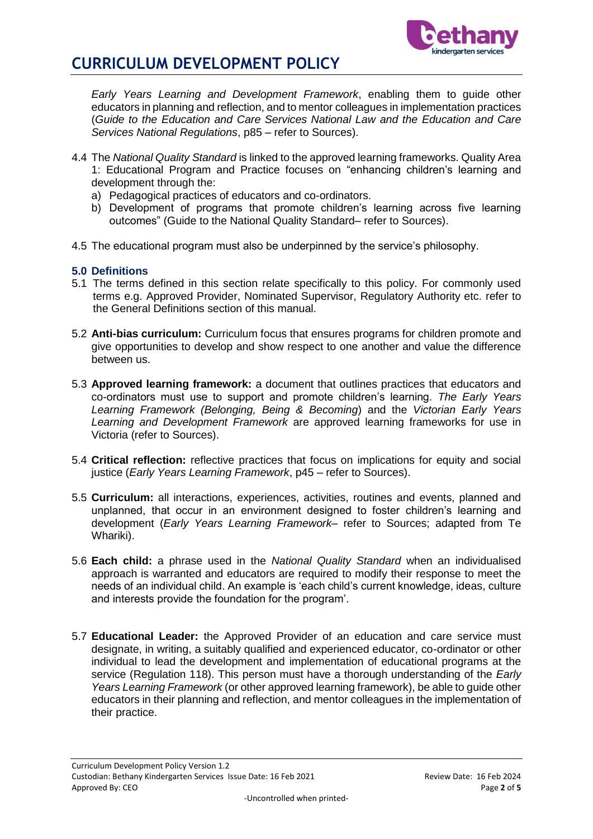

# **CURRICULUM DEVELOPMENT POLICY**

*Early Years Learning and Development Framework*, enabling them to guide other educators in planning and reflection, and to mentor colleagues in implementation practices (*Guide to the Education and Care Services National Law and the Education and Care Services National Regulations*, p85 – refer to Sources).

- 4.4 The *National Quality Standard* is linked to the approved learning frameworks. Quality Area 1: Educational Program and Practice focuses on "enhancing children's learning and development through the:
	- a) Pedagogical practices of educators and co-ordinators.
	- b) Development of programs that promote children's learning across five learning outcomes" (Guide to the National Quality Standard– refer to Sources).
- 4.5 The educational program must also be underpinned by the service's philosophy.

### **5.0 Definitions**

- 5.1 The terms defined in this section relate specifically to this policy. For commonly used terms e.g. Approved Provider, Nominated Supervisor, Regulatory Authority etc. refer to the General Definitions section of this manual.
- 5.2 **Anti-bias curriculum:** Curriculum focus that ensures programs for children promote and give opportunities to develop and show respect to one another and value the difference between us.
- 5.3 **Approved learning framework:** a document that outlines practices that educators and co-ordinators must use to support and promote children's learning. *The Early Years Learning Framework (Belonging, Being & Becoming*) and the *Victorian Early Years Learning and Development Framework* are approved learning frameworks for use in Victoria (refer to Sources).
- 5.4 **Critical reflection:** reflective practices that focus on implications for equity and social justice (*Early Years Learning Framework*, p45 – refer to Sources).
- 5.5 **Curriculum:** all interactions, experiences, activities, routines and events, planned and unplanned, that occur in an environment designed to foster children's learning and development (*Early Years Learning Framework*– refer to Sources; adapted from Te Whariki).
- 5.6 **Each child:** a phrase used in the *National Quality Standard* when an individualised approach is warranted and educators are required to modify their response to meet the needs of an individual child. An example is 'each child's current knowledge, ideas, culture and interests provide the foundation for the program'.
- 5.7 **Educational Leader:** the Approved Provider of an education and care service must designate, in writing, a suitably qualified and experienced educator, co-ordinator or other individual to lead the development and implementation of educational programs at the service (Regulation 118). This person must have a thorough understanding of the *Early Years Learning Framework* (or other approved learning framework), be able to guide other educators in their planning and reflection, and mentor colleagues in the implementation of their practice.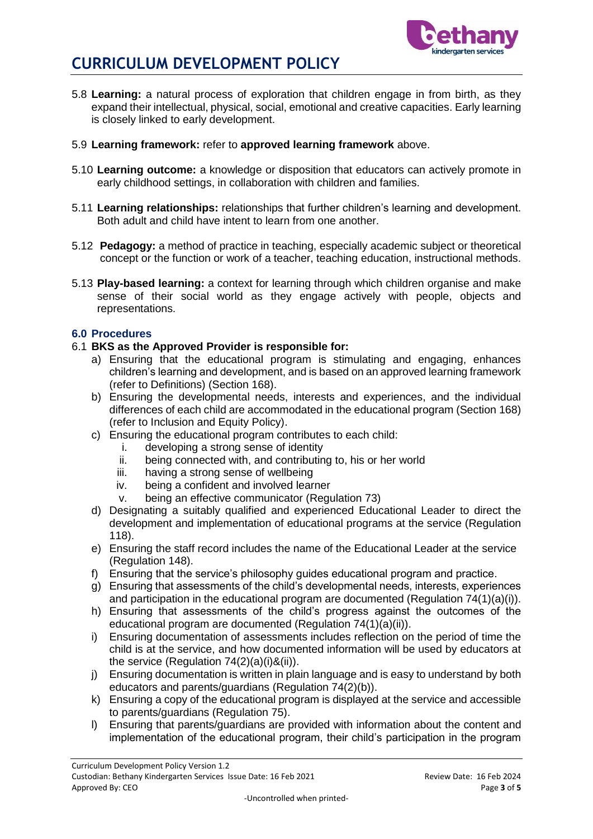



- 5.8 **Learning:** a natural process of exploration that children engage in from birth, as they expand their intellectual, physical, social, emotional and creative capacities. Early learning is closely linked to early development.
- 5.9 **Learning framework:** refer to **approved learning framework** above.
- 5.10 **Learning outcome:** a knowledge or disposition that educators can actively promote in early childhood settings, in collaboration with children and families.
- 5.11 **Learning relationships:** relationships that further children's learning and development. Both adult and child have intent to learn from one another.
- 5.12 **Pedagogy:** a method of practice in teaching, especially academic subject or theoretical concept or the function or work of a teacher, teaching education, instructional methods.
- 5.13 **Play-based learning:** a context for learning through which children organise and make sense of their social world as they engage actively with people, objects and representations.

### **6.0 Procedures**

### 6.1 **BKS as the Approved Provider is responsible for:**

- a) Ensuring that the educational program is stimulating and engaging, enhances children's learning and development, and is based on an approved learning framework (refer to Definitions) (Section 168).
- b) Ensuring the developmental needs, interests and experiences, and the individual differences of each child are accommodated in the educational program (Section 168) (refer to Inclusion and Equity Policy).
- c) Ensuring the educational program contributes to each child:
	- i. developing a strong sense of identity
	- ii. being connected with, and contributing to, his or her world
	- iii. having a strong sense of wellbeing
	- iv. being a confident and involved learner
	- v. being an effective communicator (Regulation 73)
- d) Designating a suitably qualified and experienced Educational Leader to direct the development and implementation of educational programs at the service (Regulation 118).
- e) Ensuring the staff record includes the name of the Educational Leader at the service (Regulation 148).
- f) Ensuring that the service's philosophy guides educational program and practice.
- g) Ensuring that assessments of the child's developmental needs, interests, experiences and participation in the educational program are documented (Regulation  $74(1)(a)(i)$ ).
- h) Ensuring that assessments of the child's progress against the outcomes of the educational program are documented (Regulation 74(1)(a)(ii)).
- i) Ensuring documentation of assessments includes reflection on the period of time the child is at the service, and how documented information will be used by educators at the service (Regulation 74(2)(a)(i)&(ii)).
- j) Ensuring documentation is written in plain language and is easy to understand by both educators and parents/guardians (Regulation 74(2)(b)).
- k) Ensuring a copy of the educational program is displayed at the service and accessible to parents/guardians (Regulation 75).
- l) Ensuring that parents/guardians are provided with information about the content and implementation of the educational program, their child's participation in the program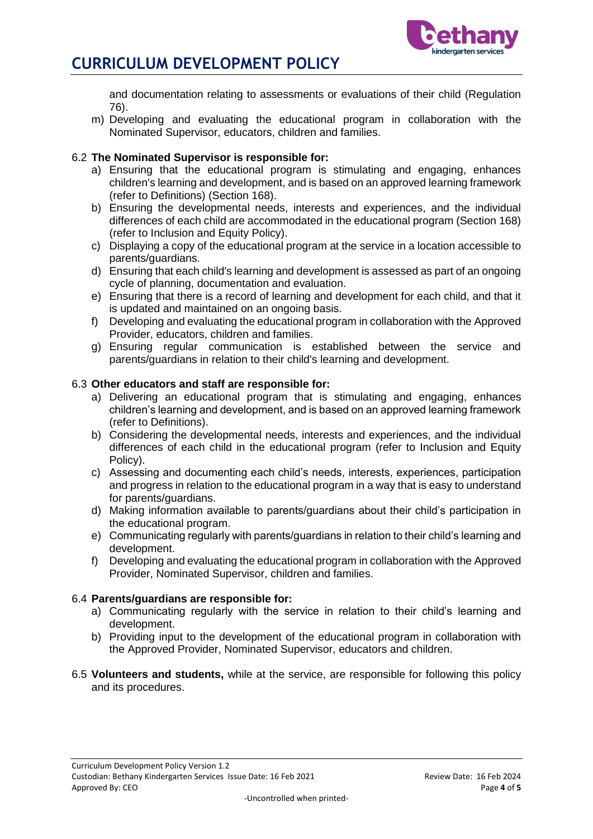

# **CURRICULUM DEVELOPMENT POLICY**

and documentation relating to assessments or evaluations of their child (Regulation 76).

m) Developing and evaluating the educational program in collaboration with the Nominated Supervisor, educators, children and families.

## 6.2 **The Nominated Supervisor is responsible for:**

- a) Ensuring that the educational program is stimulating and engaging, enhances children's learning and development, and is based on an approved learning framework (refer to Definitions) (Section 168).
- b) Ensuring the developmental needs, interests and experiences, and the individual differences of each child are accommodated in the educational program (Section 168) (refer to Inclusion and Equity Policy).
- c) Displaying a copy of the educational program at the service in a location accessible to parents/guardians.
- d) Ensuring that each child's learning and development is assessed as part of an ongoing cycle of planning, documentation and evaluation.
- e) Ensuring that there is a record of learning and development for each child, and that it is updated and maintained on an ongoing basis.
- f) Developing and evaluating the educational program in collaboration with the Approved Provider, educators, children and families.
- g) Ensuring regular communication is established between the service and parents/guardians in relation to their child's learning and development.

### 6.3 **Other educators and staff are responsible for:**

- a) Delivering an educational program that is stimulating and engaging, enhances children's learning and development, and is based on an approved learning framework (refer to Definitions).
- b) Considering the developmental needs, interests and experiences, and the individual differences of each child in the educational program (refer to Inclusion and Equity Policy).
- c) Assessing and documenting each child's needs, interests, experiences, participation and progress in relation to the educational program in a way that is easy to understand for parents/guardians.
- d) Making information available to parents/guardians about their child's participation in the educational program.
- e) Communicating regularly with parents/guardians in relation to their child's learning and development.
- f) Developing and evaluating the educational program in collaboration with the Approved Provider, Nominated Supervisor, children and families.

### 6.4 **Parents/guardians are responsible for:**

- a) Communicating regularly with the service in relation to their child's learning and development.
- b) Providing input to the development of the educational program in collaboration with the Approved Provider, Nominated Supervisor, educators and children.
- 6.5 **Volunteers and students,** while at the service, are responsible for following this policy and its procedures.